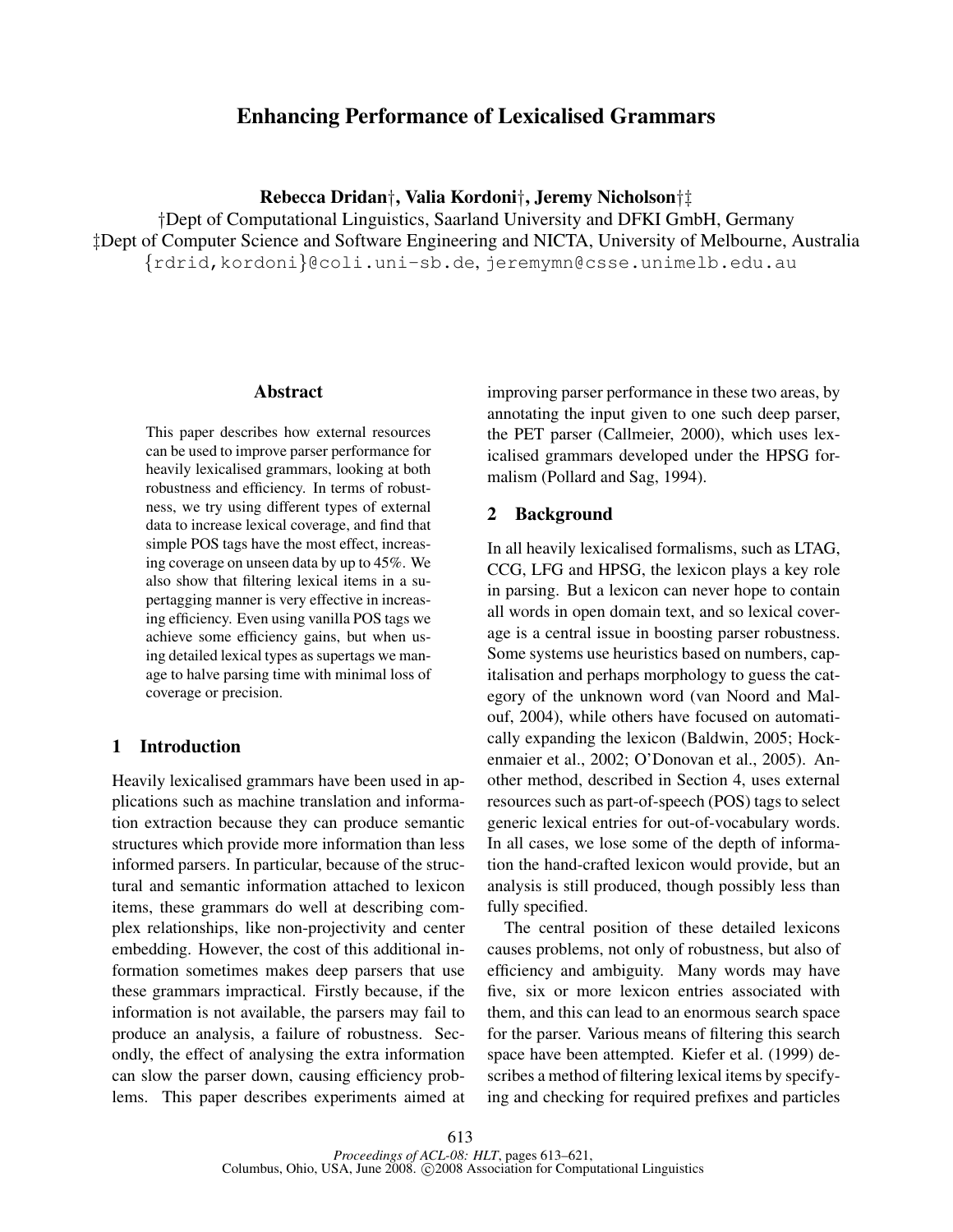# Enhancing Performance of Lexicalised Grammars

Rebecca Dridan†, Valia Kordoni†, Jeremy Nicholson†‡

†Dept of Computational Linguistics, Saarland University and DFKI GmbH, Germany ‡Dept of Computer Science and Software Engineering and NICTA, University of Melbourne, Australia {rdrid,kordoni}@coli.uni-sb.de, jeremymn@csse.unimelb.edu.au

#### Abstract

This paper describes how external resources can be used to improve parser performance for heavily lexicalised grammars, looking at both robustness and efficiency. In terms of robustness, we try using different types of external data to increase lexical coverage, and find that simple POS tags have the most effect, increasing coverage on unseen data by up to 45%. We also show that filtering lexical items in a supertagging manner is very effective in increasing efficiency. Even using vanilla POS tags we achieve some efficiency gains, but when using detailed lexical types as supertags we manage to halve parsing time with minimal loss of coverage or precision.

## 1 Introduction

Heavily lexicalised grammars have been used in applications such as machine translation and information extraction because they can produce semantic structures which provide more information than less informed parsers. In particular, because of the structural and semantic information attached to lexicon items, these grammars do well at describing complex relationships, like non-projectivity and center embedding. However, the cost of this additional information sometimes makes deep parsers that use these grammars impractical. Firstly because, if the information is not available, the parsers may fail to produce an analysis, a failure of robustness. Secondly, the effect of analysing the extra information can slow the parser down, causing efficiency problems. This paper describes experiments aimed at improving parser performance in these two areas, by annotating the input given to one such deep parser, the PET parser (Callmeier, 2000), which uses lexicalised grammars developed under the HPSG formalism (Pollard and Sag, 1994).

## 2 Background

In all heavily lexicalised formalisms, such as LTAG, CCG, LFG and HPSG, the lexicon plays a key role in parsing. But a lexicon can never hope to contain all words in open domain text, and so lexical coverage is a central issue in boosting parser robustness. Some systems use heuristics based on numbers, capitalisation and perhaps morphology to guess the category of the unknown word (van Noord and Malouf, 2004), while others have focused on automatically expanding the lexicon (Baldwin, 2005; Hockenmaier et al., 2002; O'Donovan et al., 2005). Another method, described in Section 4, uses external resources such as part-of-speech (POS) tags to select generic lexical entries for out-of-vocabulary words. In all cases, we lose some of the depth of information the hand-crafted lexicon would provide, but an analysis is still produced, though possibly less than fully specified.

The central position of these detailed lexicons causes problems, not only of robustness, but also of efficiency and ambiguity. Many words may have five, six or more lexicon entries associated with them, and this can lead to an enormous search space for the parser. Various means of filtering this search space have been attempted. Kiefer et al. (1999) describes a method of filtering lexical items by specifying and checking for required prefixes and particles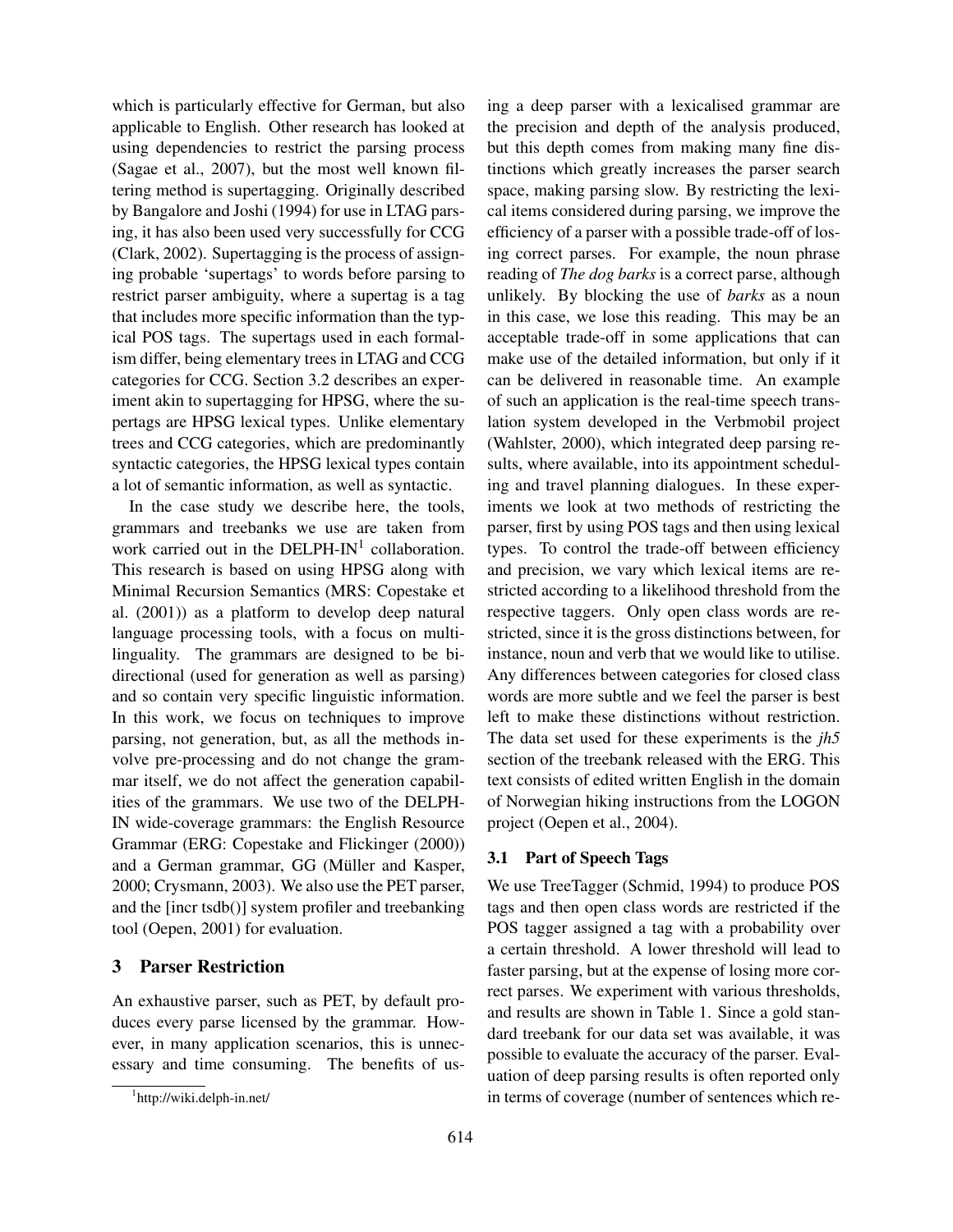which is particularly effective for German, but also applicable to English. Other research has looked at using dependencies to restrict the parsing process (Sagae et al., 2007), but the most well known filtering method is supertagging. Originally described by Bangalore and Joshi (1994) for use in LTAG parsing, it has also been used very successfully for CCG (Clark, 2002). Supertagging is the process of assigning probable 'supertags' to words before parsing to restrict parser ambiguity, where a supertag is a tag that includes more specific information than the typical POS tags. The supertags used in each formalism differ, being elementary trees in LTAG and CCG categories for CCG. Section 3.2 describes an experiment akin to supertagging for HPSG, where the supertags are HPSG lexical types. Unlike elementary trees and CCG categories, which are predominantly syntactic categories, the HPSG lexical types contain a lot of semantic information, as well as syntactic.

In the case study we describe here, the tools, grammars and treebanks we use are taken from work carried out in the DELPH-IN<sup>1</sup> collaboration. This research is based on using HPSG along with Minimal Recursion Semantics (MRS: Copestake et al. (2001)) as a platform to develop deep natural language processing tools, with a focus on multilinguality. The grammars are designed to be bidirectional (used for generation as well as parsing) and so contain very specific linguistic information. In this work, we focus on techniques to improve parsing, not generation, but, as all the methods involve pre-processing and do not change the grammar itself, we do not affect the generation capabilities of the grammars. We use two of the DELPH-IN wide-coverage grammars: the English Resource Grammar (ERG: Copestake and Flickinger (2000)) and a German grammar, GG (Müller and Kasper, 2000; Crysmann, 2003). We also use the PET parser, and the [incr tsdb()] system profiler and treebanking tool (Oepen, 2001) for evaluation.

# 3 Parser Restriction

An exhaustive parser, such as PET, by default produces every parse licensed by the grammar. However, in many application scenarios, this is unnecessary and time consuming. The benefits of using a deep parser with a lexicalised grammar are the precision and depth of the analysis produced, but this depth comes from making many fine distinctions which greatly increases the parser search space, making parsing slow. By restricting the lexical items considered during parsing, we improve the efficiency of a parser with a possible trade-off of losing correct parses. For example, the noun phrase reading of *The dog barks* is a correct parse, although unlikely. By blocking the use of *barks* as a noun in this case, we lose this reading. This may be an acceptable trade-off in some applications that can make use of the detailed information, but only if it can be delivered in reasonable time. An example of such an application is the real-time speech translation system developed in the Verbmobil project (Wahlster, 2000), which integrated deep parsing results, where available, into its appointment scheduling and travel planning dialogues. In these experiments we look at two methods of restricting the parser, first by using POS tags and then using lexical types. To control the trade-off between efficiency and precision, we vary which lexical items are restricted according to a likelihood threshold from the respective taggers. Only open class words are restricted, since it is the gross distinctions between, for instance, noun and verb that we would like to utilise. Any differences between categories for closed class words are more subtle and we feel the parser is best left to make these distinctions without restriction. The data set used for these experiments is the *jh5* section of the treebank released with the ERG. This text consists of edited written English in the domain of Norwegian hiking instructions from the LOGON project (Oepen et al., 2004).

## 3.1 Part of Speech Tags

We use TreeTagger (Schmid, 1994) to produce POS tags and then open class words are restricted if the POS tagger assigned a tag with a probability over a certain threshold. A lower threshold will lead to faster parsing, but at the expense of losing more correct parses. We experiment with various thresholds, and results are shown in Table 1. Since a gold standard treebank for our data set was available, it was possible to evaluate the accuracy of the parser. Evaluation of deep parsing results is often reported only in terms of coverage (number of sentences which re-

<sup>1</sup> http://wiki.delph-in.net/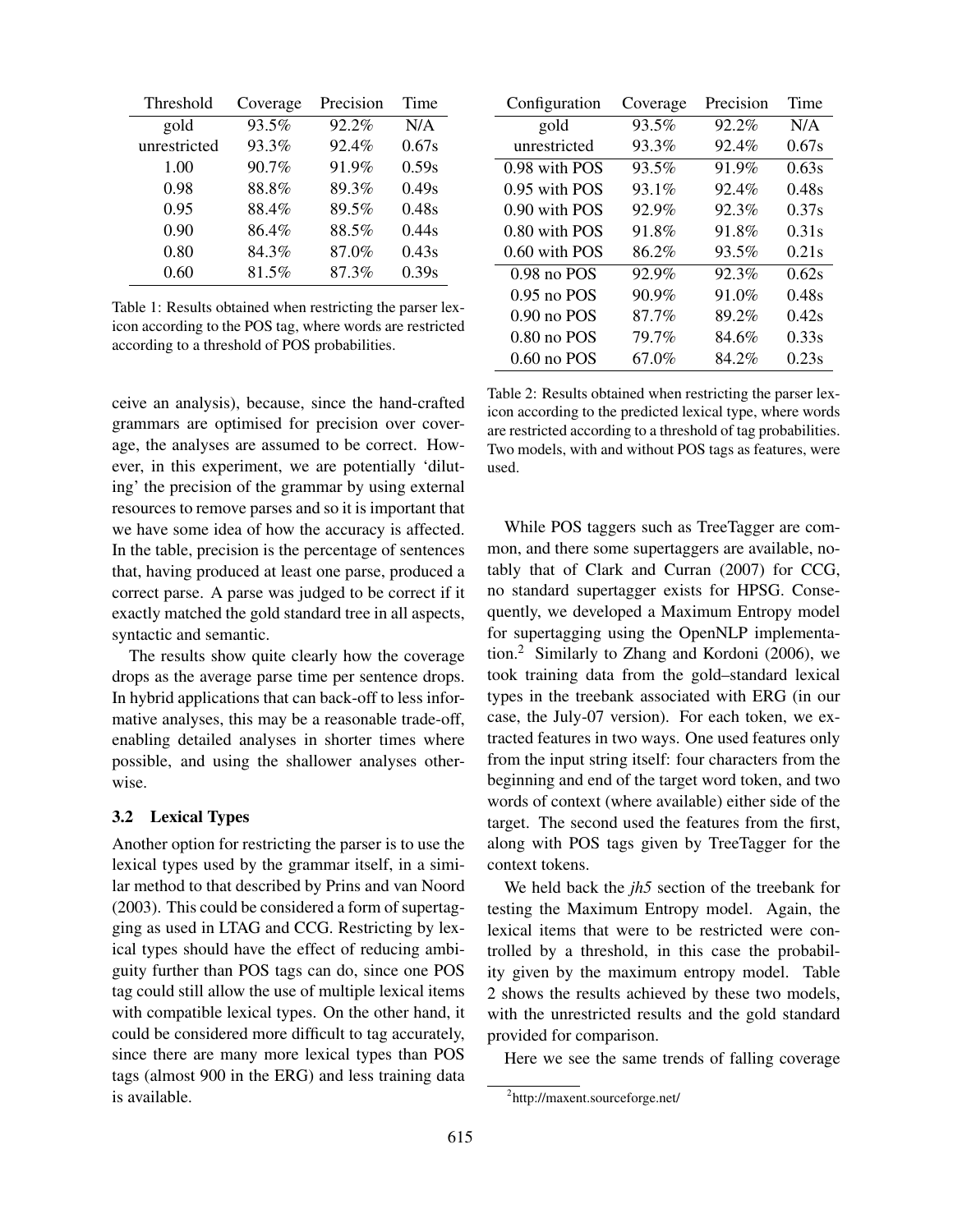| Threshold    | Coverage | Precision | Time  |
|--------------|----------|-----------|-------|
| gold         | 93.5%    | 92.2%     | N/A   |
| unrestricted | 93.3%    | 92.4%     | 0.67s |
| 1.00         | 90.7%    | 91.9%     | 0.59s |
| 0.98         | 88.8%    | 89.3%     | 0.49s |
| 0.95         | 88.4%    | 89.5%     | 0.48s |
| 0.90         | 86.4%    | 88.5%     | 0.44s |
| 0.80         | 84.3%    | 87.0%     | 0.43s |
| 0.60         | 81.5%    | 87.3%     | 0.39s |

Table 1: Results obtained when restricting the parser lexicon according to the POS tag, where words are restricted according to a threshold of POS probabilities.

ceive an analysis), because, since the hand-crafted grammars are optimised for precision over coverage, the analyses are assumed to be correct. However, in this experiment, we are potentially 'diluting' the precision of the grammar by using external resources to remove parses and so it is important that we have some idea of how the accuracy is affected. In the table, precision is the percentage of sentences that, having produced at least one parse, produced a correct parse. A parse was judged to be correct if it exactly matched the gold standard tree in all aspects, syntactic and semantic.

The results show quite clearly how the coverage drops as the average parse time per sentence drops. In hybrid applications that can back-off to less informative analyses, this may be a reasonable trade-off, enabling detailed analyses in shorter times where possible, and using the shallower analyses otherwise.

#### 3.2 Lexical Types

Another option for restricting the parser is to use the lexical types used by the grammar itself, in a similar method to that described by Prins and van Noord (2003). This could be considered a form of supertagging as used in LTAG and CCG. Restricting by lexical types should have the effect of reducing ambiguity further than POS tags can do, since one POS tag could still allow the use of multiple lexical items with compatible lexical types. On the other hand, it could be considered more difficult to tag accurately, since there are many more lexical types than POS tags (almost 900 in the ERG) and less training data is available.

| Configuration   | Coverage | Precision | Time  |
|-----------------|----------|-----------|-------|
| gold            | 93.5%    | 92.2%     | N/A   |
| unrestricted    | 93.3%    | $92.4\%$  | 0.67s |
| 0.98 with POS   | 93.5%    | 91.9%     | 0.63s |
| $0.95$ with POS | $93.1\%$ | 92.4%     | 0.48s |
| $0.90$ with POS | 92.9%    | 92.3%     | 0.37s |
| $0.80$ with POS | 91.8%    | 91.8%     | 0.31s |
| $0.60$ with POS | 86.2%    | 93.5%     | 0.21s |
| $0.98$ no POS   | 92.9%    | 92.3%     | 0.62s |
| $0.95$ no POS   | 90.9%    | 91.0%     | 0.48s |
| $0.90$ no POS   | 87.7%    | 89.2%     | 0.42s |
| $0.80$ no POS   | 79.7%    | 84.6%     | 0.33s |
| $0.60$ no POS   | 67.0%    | 84.2%     | 0.23s |

Table 2: Results obtained when restricting the parser lexicon according to the predicted lexical type, where words are restricted according to a threshold of tag probabilities. Two models, with and without POS tags as features, were used.

While POS taggers such as TreeTagger are common, and there some supertaggers are available, notably that of Clark and Curran (2007) for CCG, no standard supertagger exists for HPSG. Consequently, we developed a Maximum Entropy model for supertagging using the OpenNLP implementation.<sup>2</sup> Similarly to Zhang and Kordoni (2006), we took training data from the gold–standard lexical types in the treebank associated with ERG (in our case, the July-07 version). For each token, we extracted features in two ways. One used features only from the input string itself: four characters from the beginning and end of the target word token, and two words of context (where available) either side of the target. The second used the features from the first, along with POS tags given by TreeTagger for the context tokens.

We held back the *jh5* section of the treebank for testing the Maximum Entropy model. Again, the lexical items that were to be restricted were controlled by a threshold, in this case the probability given by the maximum entropy model. Table 2 shows the results achieved by these two models, with the unrestricted results and the gold standard provided for comparison.

Here we see the same trends of falling coverage

<sup>2</sup> http://maxent.sourceforge.net/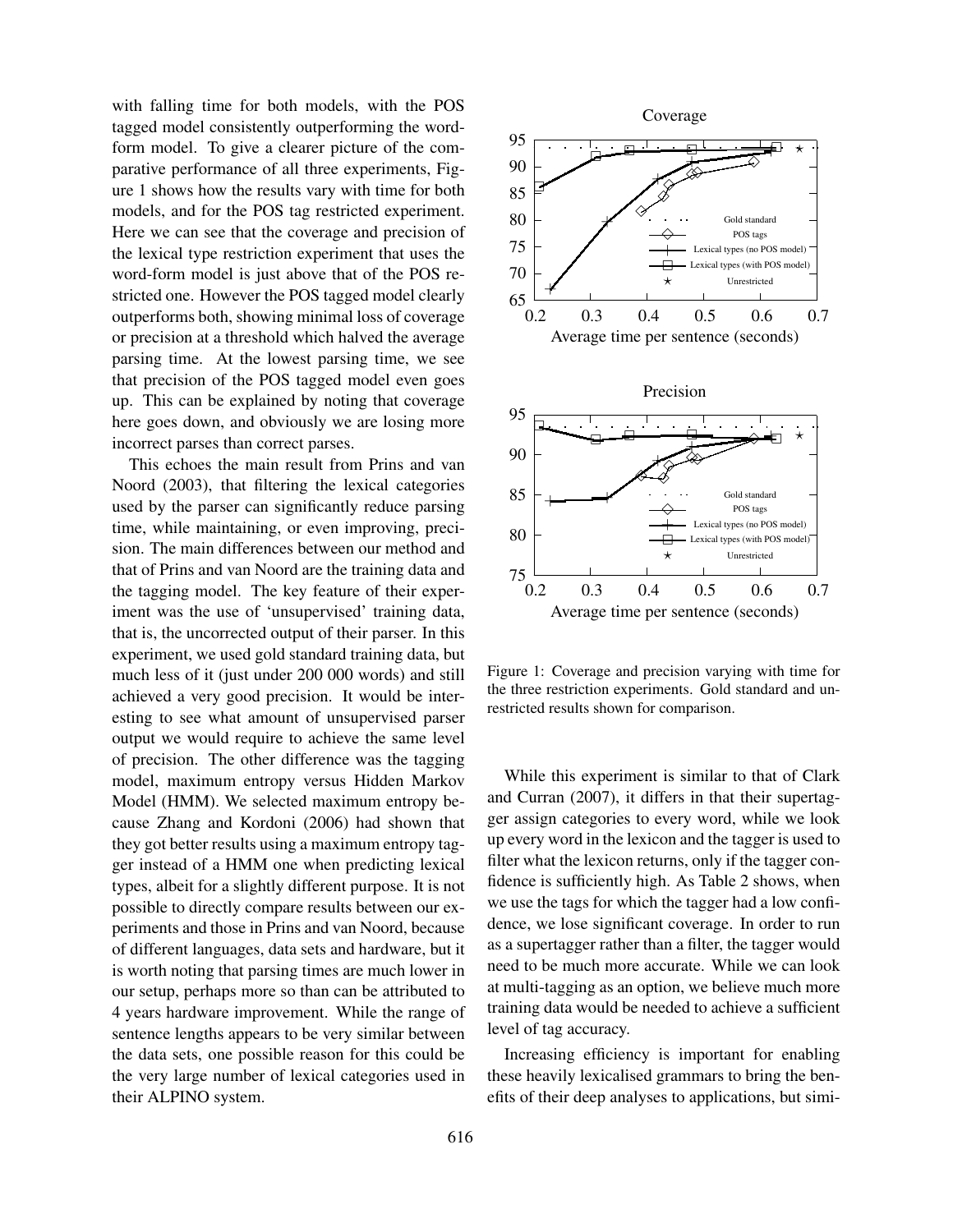with falling time for both models, with the POS tagged model consistently outperforming the wordform model. To give a clearer picture of the comparative performance of all three experiments, Figure 1 shows how the results vary with time for both models, and for the POS tag restricted experiment. Here we can see that the coverage and precision of the lexical type restriction experiment that uses the word-form model is just above that of the POS restricted one. However the POS tagged model clearly outperforms both, showing minimal loss of coverage or precision at a threshold which halved the average parsing time. At the lowest parsing time, we see that precision of the POS tagged model even goes up. This can be explained by noting that coverage here goes down, and obviously we are losing more incorrect parses than correct parses.

This echoes the main result from Prins and van Noord (2003), that filtering the lexical categories used by the parser can significantly reduce parsing time, while maintaining, or even improving, precision. The main differences between our method and that of Prins and van Noord are the training data and the tagging model. The key feature of their experiment was the use of 'unsupervised' training data, that is, the uncorrected output of their parser. In this experiment, we used gold standard training data, but much less of it (just under 200 000 words) and still achieved a very good precision. It would be interesting to see what amount of unsupervised parser output we would require to achieve the same level of precision. The other difference was the tagging model, maximum entropy versus Hidden Markov Model (HMM). We selected maximum entropy because Zhang and Kordoni (2006) had shown that they got better results using a maximum entropy tagger instead of a HMM one when predicting lexical types, albeit for a slightly different purpose. It is not possible to directly compare results between our experiments and those in Prins and van Noord, because of different languages, data sets and hardware, but it is worth noting that parsing times are much lower in our setup, perhaps more so than can be attributed to 4 years hardware improvement. While the range of sentence lengths appears to be very similar between the data sets, one possible reason for this could be the very large number of lexical categories used in their ALPINO system.



Figure 1: Coverage and precision varying with time for the three restriction experiments. Gold standard and unrestricted results shown for comparison.

While this experiment is similar to that of Clark and Curran (2007), it differs in that their supertagger assign categories to every word, while we look up every word in the lexicon and the tagger is used to filter what the lexicon returns, only if the tagger confidence is sufficiently high. As Table 2 shows, when we use the tags for which the tagger had a low confidence, we lose significant coverage. In order to run as a supertagger rather than a filter, the tagger would need to be much more accurate. While we can look at multi-tagging as an option, we believe much more training data would be needed to achieve a sufficient level of tag accuracy.

Increasing efficiency is important for enabling these heavily lexicalised grammars to bring the benefits of their deep analyses to applications, but simi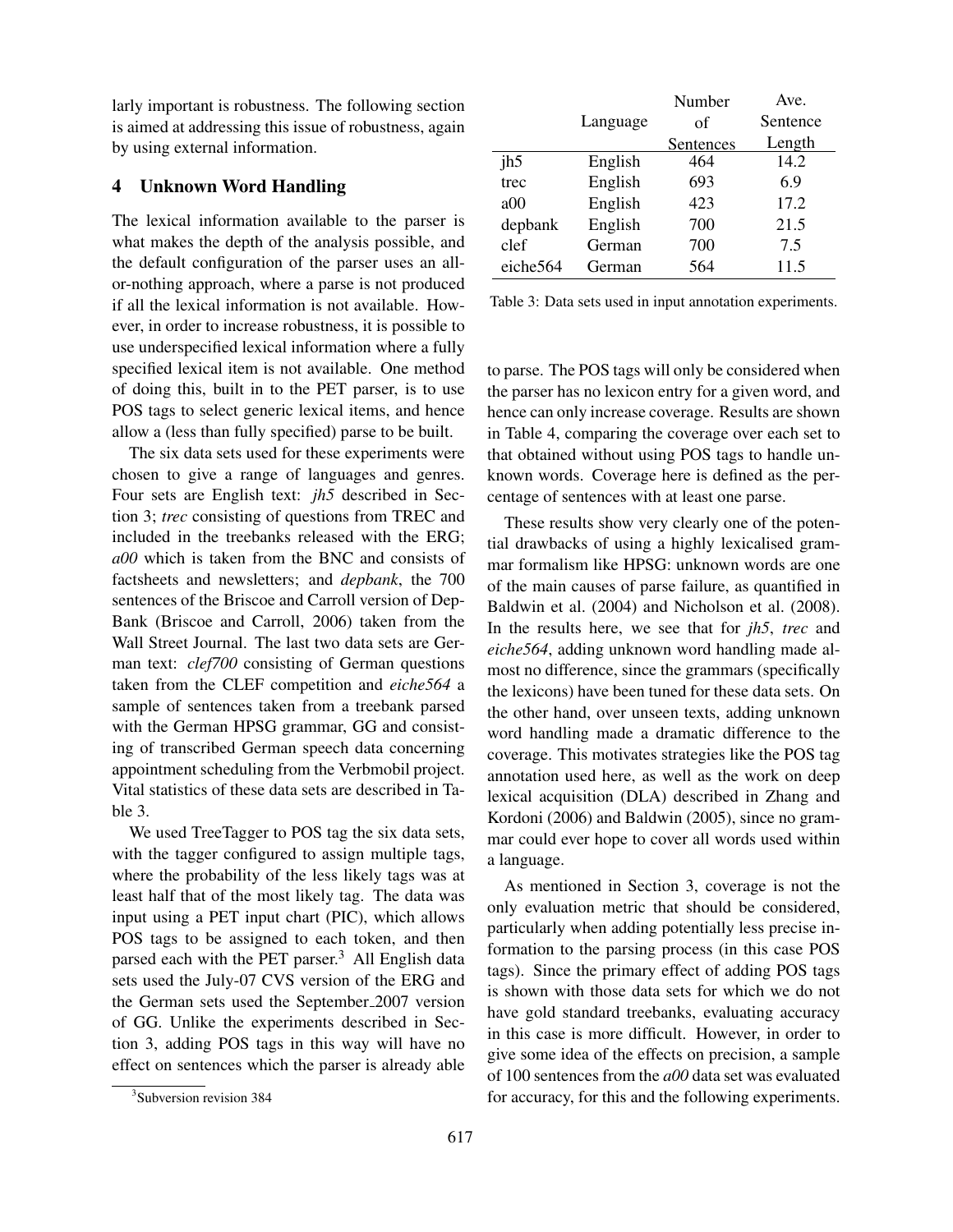larly important is robustness. The following section is aimed at addressing this issue of robustness, again by using external information.

# 4 Unknown Word Handling

The lexical information available to the parser is what makes the depth of the analysis possible, and the default configuration of the parser uses an allor-nothing approach, where a parse is not produced if all the lexical information is not available. However, in order to increase robustness, it is possible to use underspecified lexical information where a fully specified lexical item is not available. One method of doing this, built in to the PET parser, is to use POS tags to select generic lexical items, and hence allow a (less than fully specified) parse to be built.

The six data sets used for these experiments were chosen to give a range of languages and genres. Four sets are English text: *jh5* described in Section 3; *trec* consisting of questions from TREC and included in the treebanks released with the ERG; *a00* which is taken from the BNC and consists of factsheets and newsletters; and *depbank*, the 700 sentences of the Briscoe and Carroll version of Dep-Bank (Briscoe and Carroll, 2006) taken from the Wall Street Journal. The last two data sets are German text: *clef700* consisting of German questions taken from the CLEF competition and *eiche564* a sample of sentences taken from a treebank parsed with the German HPSG grammar, GG and consisting of transcribed German speech data concerning appointment scheduling from the Verbmobil project. Vital statistics of these data sets are described in Table 3.

We used TreeTagger to POS tag the six data sets, with the tagger configured to assign multiple tags, where the probability of the less likely tags was at least half that of the most likely tag. The data was input using a PET input chart (PIC), which allows POS tags to be assigned to each token, and then parsed each with the PET parser. $3$  All English data sets used the July-07 CVS version of the ERG and the German sets used the September 2007 version of GG. Unlike the experiments described in Section 3, adding POS tags in this way will have no effect on sentences which the parser is already able

|          |          | Number    | Ave.     |
|----------|----------|-----------|----------|
|          | Language | οf        | Sentence |
|          |          | Sentences | Length   |
| jh5      | English  | 464       | 14.2     |
| trec     | English  | 693       | 6.9      |
| a00      | English  | 423       | 17.2     |
| depbank  | English  | 700       | 21.5     |
| clef     | German   | 700       | 7.5      |
| eiche564 | German   | 564       | 11.5     |

Table 3: Data sets used in input annotation experiments.

to parse. The POS tags will only be considered when the parser has no lexicon entry for a given word, and hence can only increase coverage. Results are shown in Table 4, comparing the coverage over each set to that obtained without using POS tags to handle unknown words. Coverage here is defined as the percentage of sentences with at least one parse.

These results show very clearly one of the potential drawbacks of using a highly lexicalised grammar formalism like HPSG: unknown words are one of the main causes of parse failure, as quantified in Baldwin et al. (2004) and Nicholson et al. (2008). In the results here, we see that for *jh5*, *trec* and *eiche564*, adding unknown word handling made almost no difference, since the grammars (specifically the lexicons) have been tuned for these data sets. On the other hand, over unseen texts, adding unknown word handling made a dramatic difference to the coverage. This motivates strategies like the POS tag annotation used here, as well as the work on deep lexical acquisition (DLA) described in Zhang and Kordoni (2006) and Baldwin (2005), since no grammar could ever hope to cover all words used within a language.

As mentioned in Section 3, coverage is not the only evaluation metric that should be considered, particularly when adding potentially less precise information to the parsing process (in this case POS tags). Since the primary effect of adding POS tags is shown with those data sets for which we do not have gold standard treebanks, evaluating accuracy in this case is more difficult. However, in order to give some idea of the effects on precision, a sample of 100 sentences from the *a00* data set was evaluated for accuracy, for this and the following experiments.

<sup>3</sup> Subversion revision 384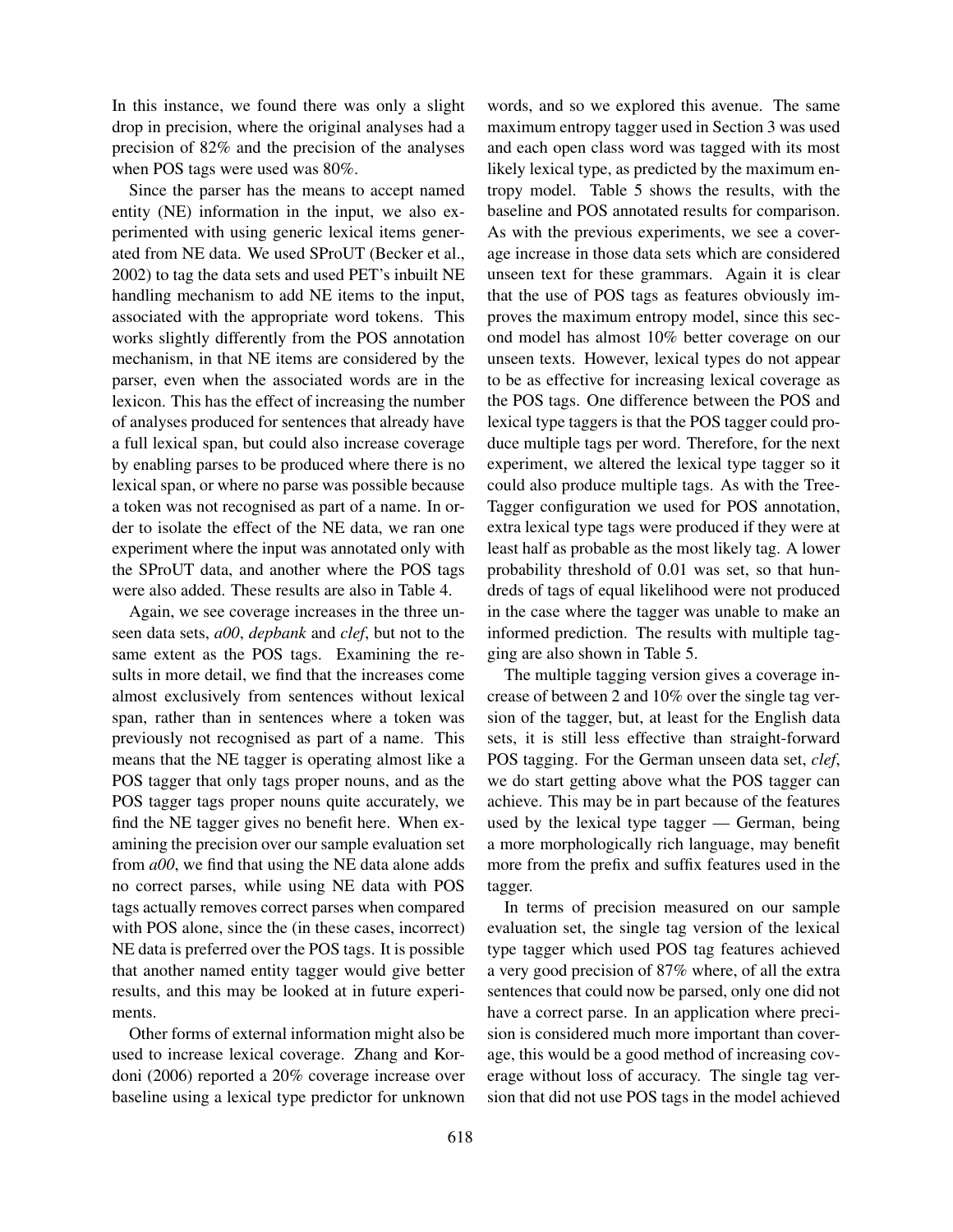In this instance, we found there was only a slight drop in precision, where the original analyses had a precision of 82% and the precision of the analyses when POS tags were used was 80%.

Since the parser has the means to accept named entity (NE) information in the input, we also experimented with using generic lexical items generated from NE data. We used SProUT (Becker et al., 2002) to tag the data sets and used PET's inbuilt NE handling mechanism to add NE items to the input, associated with the appropriate word tokens. This works slightly differently from the POS annotation mechanism, in that NE items are considered by the parser, even when the associated words are in the lexicon. This has the effect of increasing the number of analyses produced for sentences that already have a full lexical span, but could also increase coverage by enabling parses to be produced where there is no lexical span, or where no parse was possible because a token was not recognised as part of a name. In order to isolate the effect of the NE data, we ran one experiment where the input was annotated only with the SProUT data, and another where the POS tags were also added. These results are also in Table 4.

Again, we see coverage increases in the three unseen data sets, *a00*, *depbank* and *clef*, but not to the same extent as the POS tags. Examining the results in more detail, we find that the increases come almost exclusively from sentences without lexical span, rather than in sentences where a token was previously not recognised as part of a name. This means that the NE tagger is operating almost like a POS tagger that only tags proper nouns, and as the POS tagger tags proper nouns quite accurately, we find the NE tagger gives no benefit here. When examining the precision over our sample evaluation set from *a00*, we find that using the NE data alone adds no correct parses, while using NE data with POS tags actually removes correct parses when compared with POS alone, since the (in these cases, incorrect) NE data is preferred over the POS tags. It is possible that another named entity tagger would give better results, and this may be looked at in future experiments.

Other forms of external information might also be used to increase lexical coverage. Zhang and Kordoni (2006) reported a 20% coverage increase over baseline using a lexical type predictor for unknown words, and so we explored this avenue. The same maximum entropy tagger used in Section 3 was used and each open class word was tagged with its most likely lexical type, as predicted by the maximum entropy model. Table 5 shows the results, with the baseline and POS annotated results for comparison. As with the previous experiments, we see a coverage increase in those data sets which are considered unseen text for these grammars. Again it is clear that the use of POS tags as features obviously improves the maximum entropy model, since this second model has almost 10% better coverage on our unseen texts. However, lexical types do not appear to be as effective for increasing lexical coverage as the POS tags. One difference between the POS and lexical type taggers is that the POS tagger could produce multiple tags per word. Therefore, for the next experiment, we altered the lexical type tagger so it could also produce multiple tags. As with the Tree-Tagger configuration we used for POS annotation, extra lexical type tags were produced if they were at least half as probable as the most likely tag. A lower probability threshold of 0.01 was set, so that hundreds of tags of equal likelihood were not produced in the case where the tagger was unable to make an informed prediction. The results with multiple tagging are also shown in Table 5.

The multiple tagging version gives a coverage increase of between 2 and 10% over the single tag version of the tagger, but, at least for the English data sets, it is still less effective than straight-forward POS tagging. For the German unseen data set, *clef*, we do start getting above what the POS tagger can achieve. This may be in part because of the features used by the lexical type tagger — German, being a more morphologically rich language, may benefit more from the prefix and suffix features used in the tagger.

In terms of precision measured on our sample evaluation set, the single tag version of the lexical type tagger which used POS tag features achieved a very good precision of 87% where, of all the extra sentences that could now be parsed, only one did not have a correct parse. In an application where precision is considered much more important than coverage, this would be a good method of increasing coverage without loss of accuracy. The single tag version that did not use POS tags in the model achieved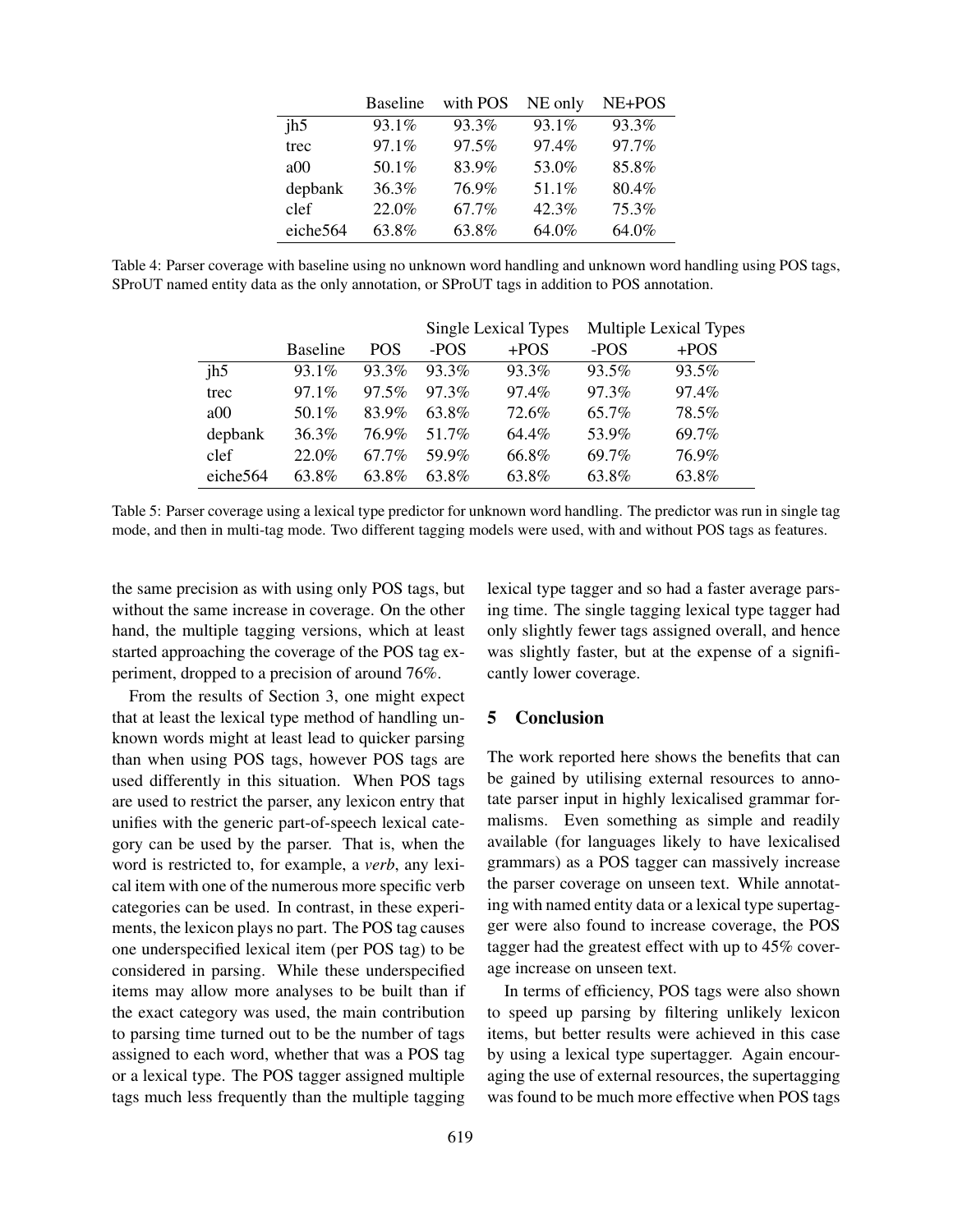|          | <b>Baseline</b> | with POS | NE only | NE+POS |
|----------|-----------------|----------|---------|--------|
| ih5      | 93.1%           | 93.3%    | 93.1%   | 93.3%  |
| trec     | 97.1%           | 97.5%    | 97.4%   | 97.7%  |
| a00      | 50.1%           | 83.9%    | 53.0%   | 85.8%  |
| depbank  | 36.3%           | 76.9%    | 51.1%   | 80.4%  |
| clef     | 22.0%           | 67.7%    | 42.3%   | 75.3%  |
| eiche564 | 63.8%           | 63.8%    | 64.0%   | 64.0%  |

Table 4: Parser coverage with baseline using no unknown word handling and unknown word handling using POS tags, SProUT named entity data as the only annotation, or SProUT tags in addition to POS annotation.

|                      |                 |            | Single Lexical Types |        | <b>Multiple Lexical Types</b> |        |
|----------------------|-----------------|------------|----------------------|--------|-------------------------------|--------|
|                      | <b>Baseline</b> | <b>POS</b> | -POS                 | $+POS$ | -POS                          | $+POS$ |
| jh5                  | $93.1\%$        | 93.3%      | 93.3%                | 93.3%  | 93.5%                         | 93.5%  |
| trec                 | $97.1\%$        | 97.5%      | 97.3%                | 97.4%  | 97.3%                         | 97.4%  |
| a00                  | 50.1%           | 83.9%      | 63.8%                | 72.6%  | 65.7%                         | 78.5%  |
| depbank              | $36.3\%$        | 76.9%      | 51.7%                | 64.4%  | 53.9%                         | 69.7%  |
| clef                 | 22.0%           | 67.7%      | 59.9%                | 66.8%  | 69.7%                         | 76.9%  |
| eiche <sub>564</sub> | 63.8%           | 63.8%      | 63.8%                | 63.8%  | 63.8%                         | 63.8%  |

Table 5: Parser coverage using a lexical type predictor for unknown word handling. The predictor was run in single tag mode, and then in multi-tag mode. Two different tagging models were used, with and without POS tags as features.

the same precision as with using only POS tags, but without the same increase in coverage. On the other hand, the multiple tagging versions, which at least started approaching the coverage of the POS tag experiment, dropped to a precision of around 76%.

From the results of Section 3, one might expect that at least the lexical type method of handling unknown words might at least lead to quicker parsing than when using POS tags, however POS tags are used differently in this situation. When POS tags are used to restrict the parser, any lexicon entry that unifies with the generic part-of-speech lexical category can be used by the parser. That is, when the word is restricted to, for example, a *verb*, any lexical item with one of the numerous more specific verb categories can be used. In contrast, in these experiments, the lexicon plays no part. The POS tag causes one underspecified lexical item (per POS tag) to be considered in parsing. While these underspecified items may allow more analyses to be built than if the exact category was used, the main contribution to parsing time turned out to be the number of tags assigned to each word, whether that was a POS tag or a lexical type. The POS tagger assigned multiple tags much less frequently than the multiple tagging

lexical type tagger and so had a faster average parsing time. The single tagging lexical type tagger had only slightly fewer tags assigned overall, and hence was slightly faster, but at the expense of a significantly lower coverage.

#### 5 Conclusion

The work reported here shows the benefits that can be gained by utilising external resources to annotate parser input in highly lexicalised grammar formalisms. Even something as simple and readily available (for languages likely to have lexicalised grammars) as a POS tagger can massively increase the parser coverage on unseen text. While annotating with named entity data or a lexical type supertagger were also found to increase coverage, the POS tagger had the greatest effect with up to 45% coverage increase on unseen text.

In terms of efficiency, POS tags were also shown to speed up parsing by filtering unlikely lexicon items, but better results were achieved in this case by using a lexical type supertagger. Again encouraging the use of external resources, the supertagging was found to be much more effective when POS tags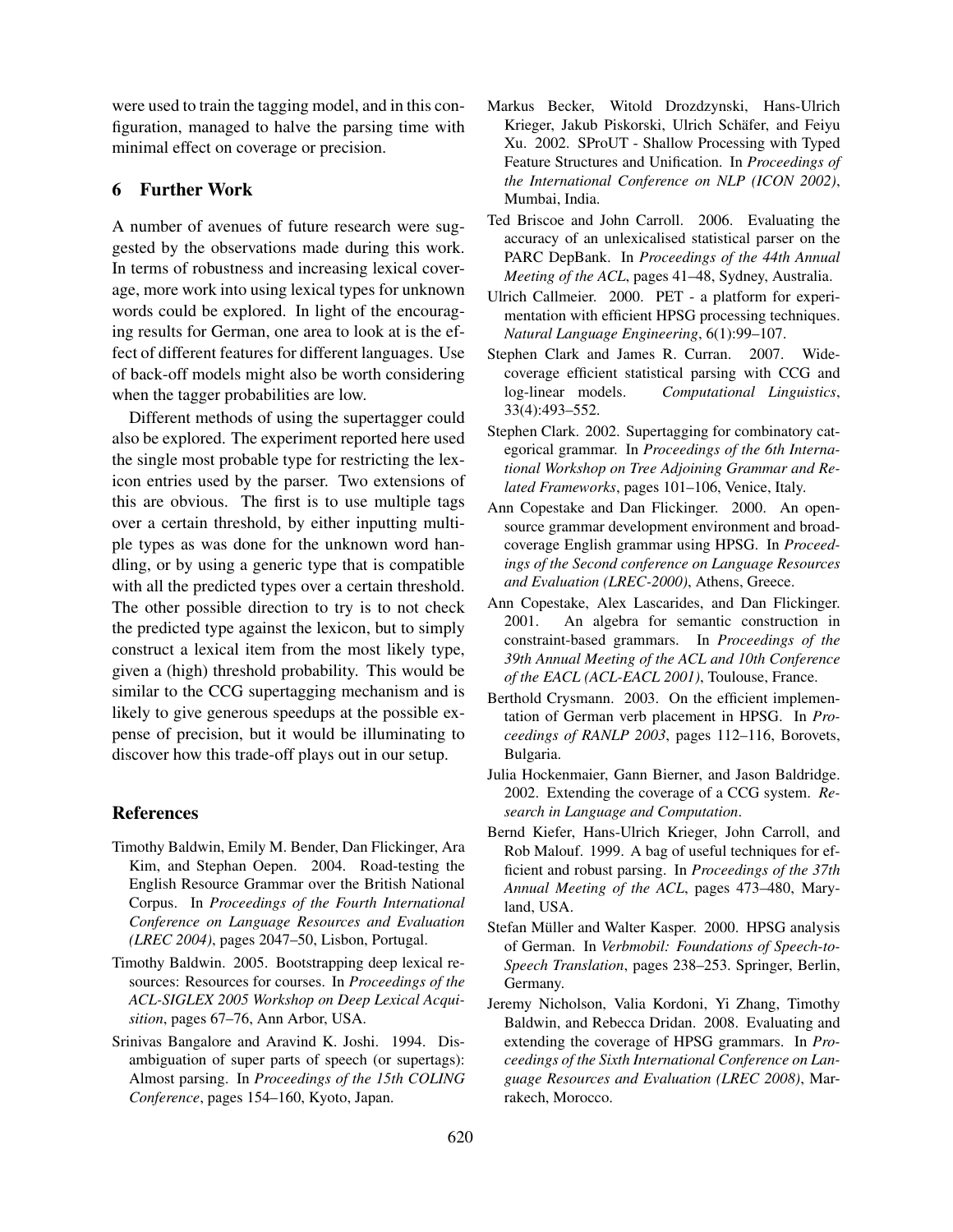were used to train the tagging model, and in this configuration, managed to halve the parsing time with minimal effect on coverage or precision.

## 6 Further Work

A number of avenues of future research were suggested by the observations made during this work. In terms of robustness and increasing lexical coverage, more work into using lexical types for unknown words could be explored. In light of the encouraging results for German, one area to look at is the effect of different features for different languages. Use of back-off models might also be worth considering when the tagger probabilities are low.

Different methods of using the supertagger could also be explored. The experiment reported here used the single most probable type for restricting the lexicon entries used by the parser. Two extensions of this are obvious. The first is to use multiple tags over a certain threshold, by either inputting multiple types as was done for the unknown word handling, or by using a generic type that is compatible with all the predicted types over a certain threshold. The other possible direction to try is to not check the predicted type against the lexicon, but to simply construct a lexical item from the most likely type, given a (high) threshold probability. This would be similar to the CCG supertagging mechanism and is likely to give generous speedups at the possible expense of precision, but it would be illuminating to discover how this trade-off plays out in our setup.

## References

- Timothy Baldwin, Emily M. Bender, Dan Flickinger, Ara Kim, and Stephan Oepen. 2004. Road-testing the English Resource Grammar over the British National Corpus. In *Proceedings of the Fourth International Conference on Language Resources and Evaluation (LREC 2004)*, pages 2047–50, Lisbon, Portugal.
- Timothy Baldwin. 2005. Bootstrapping deep lexical resources: Resources for courses. In *Proceedings of the ACL-SIGLEX 2005 Workshop on Deep Lexical Acquisition*, pages 67–76, Ann Arbor, USA.
- Srinivas Bangalore and Aravind K. Joshi. 1994. Disambiguation of super parts of speech (or supertags): Almost parsing. In *Proceedings of the 15th COLING Conference*, pages 154–160, Kyoto, Japan.
- Markus Becker, Witold Drozdzynski, Hans-Ulrich Krieger, Jakub Piskorski, Ulrich Schäfer, and Feiyu Xu. 2002. SProUT - Shallow Processing with Typed Feature Structures and Unification. In *Proceedings of the International Conference on NLP (ICON 2002)*, Mumbai, India.
- Ted Briscoe and John Carroll. 2006. Evaluating the accuracy of an unlexicalised statistical parser on the PARC DepBank. In *Proceedings of the 44th Annual Meeting of the ACL*, pages 41–48, Sydney, Australia.
- Ulrich Callmeier. 2000. PET a platform for experimentation with efficient HPSG processing techniques. *Natural Language Engineering*, 6(1):99–107.
- Stephen Clark and James R. Curran. 2007. Widecoverage efficient statistical parsing with CCG and log-linear models. *Computational Linguistics*, 33(4):493–552.
- Stephen Clark. 2002. Supertagging for combinatory categorical grammar. In *Proceedings of the 6th International Workshop on Tree Adjoining Grammar and Related Frameworks*, pages 101–106, Venice, Italy.
- Ann Copestake and Dan Flickinger. 2000. An opensource grammar development environment and broadcoverage English grammar using HPSG. In *Proceedings of the Second conference on Language Resources and Evaluation (LREC-2000)*, Athens, Greece.
- Ann Copestake, Alex Lascarides, and Dan Flickinger. 2001. An algebra for semantic construction in constraint-based grammars. In *Proceedings of the 39th Annual Meeting of the ACL and 10th Conference of the EACL (ACL-EACL 2001)*, Toulouse, France.
- Berthold Crysmann. 2003. On the efficient implementation of German verb placement in HPSG. In *Proceedings of RANLP 2003*, pages 112–116, Borovets, Bulgaria.
- Julia Hockenmaier, Gann Bierner, and Jason Baldridge. 2002. Extending the coverage of a CCG system. *Research in Language and Computation*.
- Bernd Kiefer, Hans-Ulrich Krieger, John Carroll, and Rob Malouf. 1999. A bag of useful techniques for efficient and robust parsing. In *Proceedings of the 37th Annual Meeting of the ACL*, pages 473–480, Maryland, USA.
- Stefan Müller and Walter Kasper. 2000. HPSG analysis of German. In *Verbmobil: Foundations of Speech-to-Speech Translation*, pages 238–253. Springer, Berlin, Germany.
- Jeremy Nicholson, Valia Kordoni, Yi Zhang, Timothy Baldwin, and Rebecca Dridan. 2008. Evaluating and extending the coverage of HPSG grammars. In *Proceedings of the Sixth International Conference on Language Resources and Evaluation (LREC 2008)*, Marrakech, Morocco.